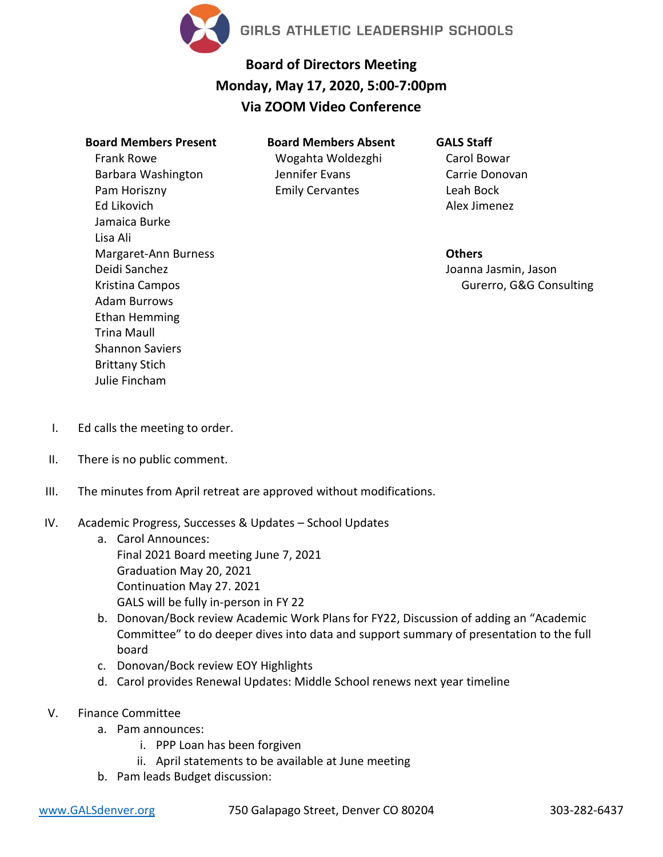

## **Board of Directors Meeting Monday, May 17, 2020, 5:00-7:00pm Via ZOOM Video Conference**

## **Board Members Present**

Frank Rowe Barbara Washington Pam Horiszny Ed Likovich Jamaica Burke Lisa Ali Margaret-Ann Burness Deidi Sanchez Kristina Campos Adam Burrows Ethan Hemming Trina Maull Shannon Saviers Brittany Stich Julie Fincham

**Board Members Absent** Wogahta Woldezghi Jennifer Evans Emily Cervantes

## **GALS Staff**

Carol Bowar Carrie Donovan Leah Bock Alex Jimenez

**Others** Joanna Jasmin, Jason Gurerro, G&G Consulting

- I. Ed calls the meeting to order.
- II. There is no public comment.
- III. The minutes from April retreat are approved without modifications.
- IV. Academic Progress, Successes & Updates School Updates
	- a. Carol Announces: Final 2021 Board meeting June 7, 2021 Graduation May 20, 2021 Continuation May 27. 2021 GALS will be fully in-person in FY 22
	- b. Donovan/Bock review Academic Work Plans for FY22, Discussion of adding an "Academic Committee" to do deeper dives into data and support summary of presentation to the full board
	- c. Donovan/Bock review EOY Highlights
	- d. Carol provides Renewal Updates: Middle School renews next year timeline
- V. Finance Committee
	- a. Pam announces:
		- i. PPP Loan has been forgiven
		- ii. April statements to be available at June meeting
		- b. Pam leads Budget discussion: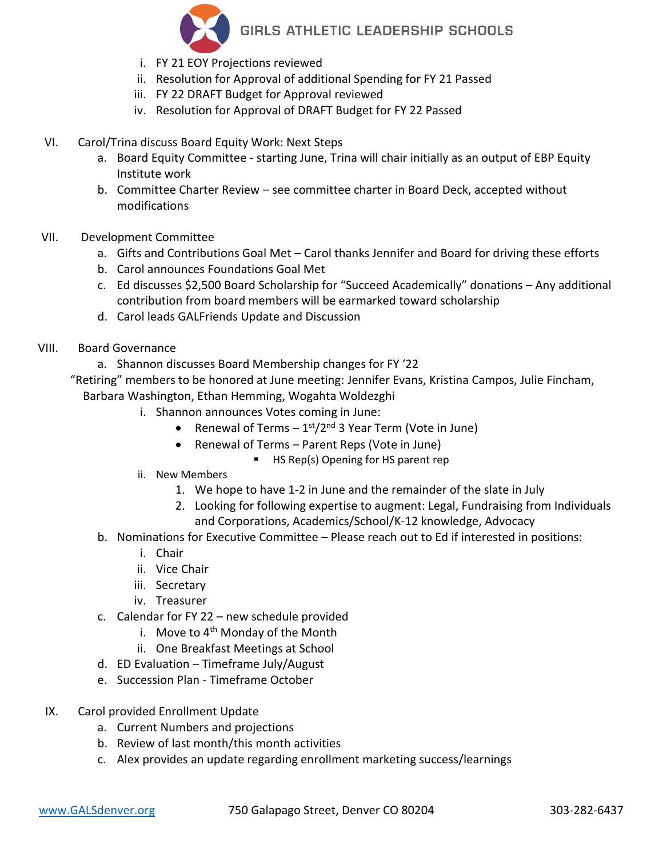

GIRLS ATHLETIC LEADERSHIP SCHOOLS

- i. FY 21 EOY Projections reviewed
- ii. Resolution for Approval of additional Spending for FY 21 Passed
- iii. FY 22 DRAFT Budget for Approval reviewed
- iv. Resolution for Approval of DRAFT Budget for FY 22 Passed
- VI. Carol/Trina discuss Board Equity Work: Next Steps
	- a. Board Equity Committee starting June, Trina will chair initially as an output of EBP Equity Institute work
	- b. Committee Charter Review see committee charter in Board Deck, accepted without modifications
- VII. Development Committee
	- a. Gifts and Contributions Goal Met Carol thanks Jennifer and Board for driving these efforts
	- b. Carol announces Foundations Goal Met
	- c. Ed discusses \$2,500 Board Scholarship for "Succeed Academically" donations Any additional contribution from board members will be earmarked toward scholarship
	- d. Carol leads GALFriends Update and Discussion
- VIII. Board Governance
	- a. Shannon discusses Board Membership changes for FY '22

"Retiring" members to be honored at June meeting: Jennifer Evans, Kristina Campos, Julie Fincham,

Barbara Washington, Ethan Hemming, Wogahta Woldezghi

- i. Shannon announces Votes coming in June:
	- Renewal of Terms  $-1<sup>st</sup>/2<sup>nd</sup>$  3 Year Term (Vote in June)
	- Renewal of Terms Parent Reps (Vote in June)
		- HS Rep(s) Opening for HS parent rep
- ii. New Members
	- 1. We hope to have 1-2 in June and the remainder of the slate in July
	- 2. Looking for following expertise to augment: Legal, Fundraising from Individuals and Corporations, Academics/School/K-12 knowledge, Advocacy
- b. Nominations for Executive Committee Please reach out to Ed if interested in positions:
	- i. Chair
	- ii. Vice Chair
	- iii. Secretary
	- iv. Treasurer
- c. Calendar for FY 22 new schedule provided
	- i. Move to  $4<sup>th</sup>$  Monday of the Month
	- ii. One Breakfast Meetings at School
- d. ED Evaluation Timeframe July/August
- e. Succession Plan Timeframe October
- IX. Carol provided Enrollment Update
	- a. Current Numbers and projections
	- b. Review of last month/this month activities
	- c. Alex provides an update regarding enrollment marketing success/learnings